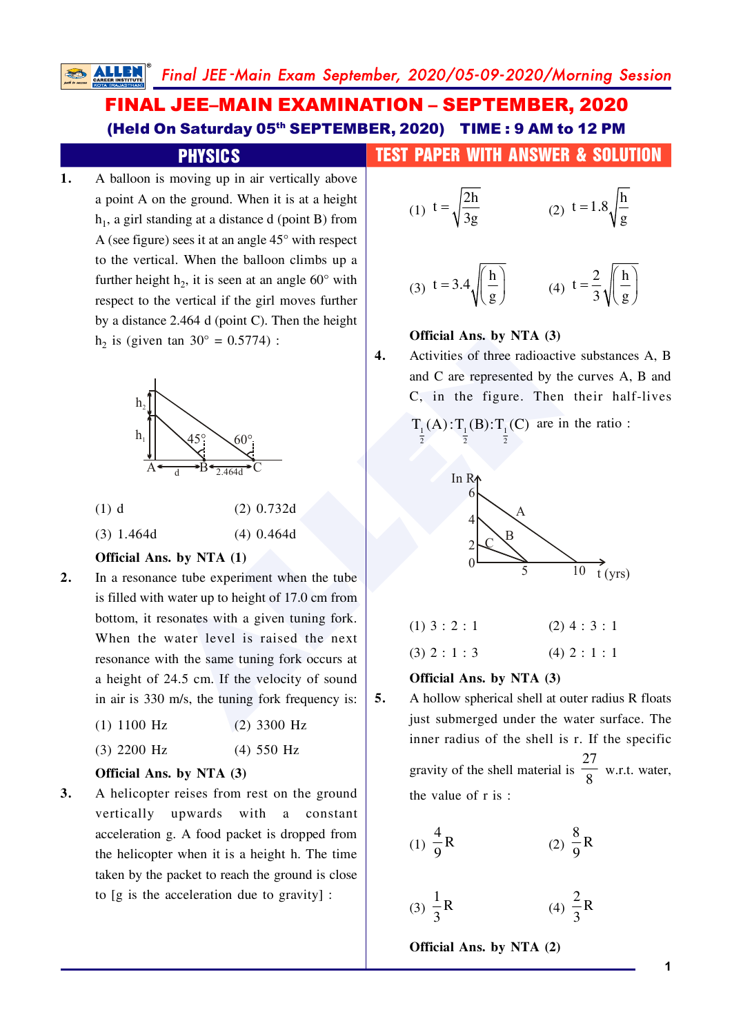$\overline{4}$ .

 $5.$ 

# **FINAL JEE-MAIN EXAMINATION - SEPTEMBER, 2020** (Held On Saturday 05th SEPTEMBER, 2020) TIME: 9 AM to 12 PM

# **PHYSICS**

A balloon is moving up in air vertically above 1. a point A on the ground. When it is at a height  $h_1$ , a girl standing at a distance d (point B) from A (see figure) sees it at an angle  $45^{\circ}$  with respect to the vertical. When the balloon climbs up a further height  $h_2$ , it is seen at an angle 60 $^{\circ}$  with respect to the vertical if the girl moves further by a distance  $2.464$  d (point C). Then the height  $h_2$  is (given tan 30° = 0.5774) :



- $(1)$  d  $(2)$  0.732d
- $(3)$  1.464d  $(4)$  0.464d

# Official Ans. by NTA (1)

 $2.$ In a resonance tube experiment when the tube is filled with water up to height of 17.0 cm from bottom, it resonates with a given tuning fork. When the water level is raised the next resonance with the same tuning fork occurs at a height of 24.5 cm. If the velocity of sound in air is 330 m/s, the tuning fork frequency is:

| $(1)$ 1100 Hz | $(2)$ 3300 Hz |  |
|---------------|---------------|--|
|               |               |  |

 $(3)$  2200 Hz  $(4)$  550 Hz

# Official Ans. by NTA (3)

 $3.$ A helicopter reises from rest on the ground vertically upwards with a constant acceleration g. A food packet is dropped from the helicopter when it is a height h. The time taken by the packet to reach the ground is close to [g is the acceleration due to gravity] :

# **TEST PAPER WITH ANSWER & SOLUTION**

(1) 
$$
t = \sqrt{\frac{2h}{3g}}
$$
 (2)  $t = 1.8 \sqrt{\frac{h}{g}}$ 

(3) 
$$
t = 3.4 \sqrt{\left(\frac{h}{g}\right)}
$$
 (4)  $t = \frac{2}{3} \sqrt{\left(\frac{h}{g}\right)}$ 

# Official Ans. by NTA (3)

Activities of three radioactive substances A, B and C are represented by the curves A, B and C, in the figure. Then their half-lives

$$
\Gamma_{\frac{1}{2}}(A) : T_{\frac{1}{2}}(B) : T_{\frac{1}{2}}(C) \text{ are in the ratio}:
$$



| $(1)$ 3 : 2 : 1 | $(2)$ 4 : 3 : 1 |
|-----------------|-----------------|
| $(3)$ 2 : 1 : 3 | $(4)$ 2 : 1 : 1 |

#### Official Ans. by NTA (3)

A hollow spherical shell at outer radius R floats just submerged under the water surface. The inner radius of the shell is r. If the specific gravity of the shell material is  $\frac{27}{8}$  w.r.t. water, the value of r is:

(1) 
$$
\frac{4}{9}
$$
R (2)  $\frac{8}{9}$ R

$$
(3) \ \frac{1}{3}R \qquad \qquad (4) \ \frac{2}{3}R
$$

Official Ans. by NTA (2)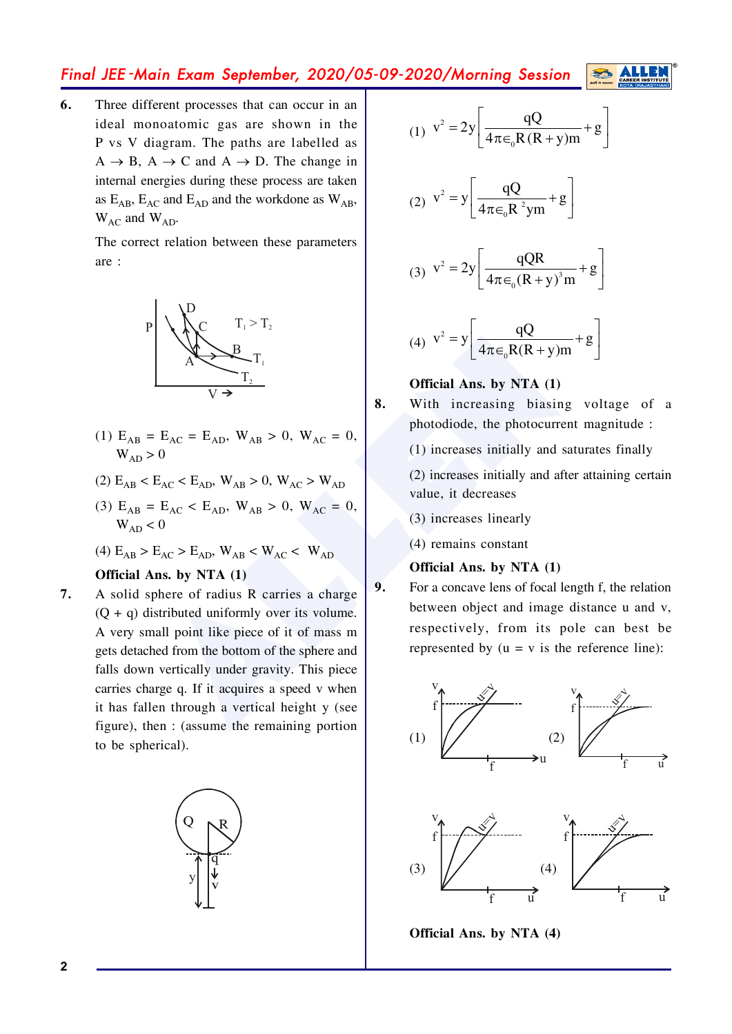# Final JEE -Main Exam September, 2020/05-09-2020/Morning Session

**6.** Three different processes that can occur in an ideal monoatomic gas are shown in the P vs V diagram. The paths are labelled as  $A \rightarrow B$ ,  $A \rightarrow C$  and  $A \rightarrow D$ . The change in internal energies during these process are taken as  $E_{AB}$ ,  $E_{AC}$  and  $E_{AD}$  and the workdone as  $W_{AB}$ ,  $W_{AC}$  and  $W_{AD}$ .

> The correct relation between these parameters are :



- (1)  $E_{AB} = E_{AC} = E_{AD}$ ,  $W_{AB} > 0$ ,  $W_{AC} = 0$ ,  $W_{AD}>0$
- $(2)$   $E_{AB}$  <  $E_{AC}$  <  $E_{AD}$ ,  $W_{AB}$  > 0,  $W_{AC}$  >  $W_{AD}$
- (3)  $E_{AB} = E_{AC} < E_{AD}$ ,  $W_{AB} > 0$ ,  $W_{AC} = 0$ ,  $W_{AD}$  < 0
- (4)  $E_{AB}$  >  $E_{AC}$  >  $E_{AD}$ ,  $W_{AB}$  <  $W_{AC}$  <  $W_{AD}$

# **Official Ans. by NTA (1)**

 $E_{AC} = E_{AD}$ ,  $W_{AB} > 0$ ,  $W_{AC} = 0$ ,<br>  $E_{AC} < E_{AD}$ ,  $W_{AB} > 0$ ,  $W_{AC} > W_{AD}$ <br>  $= E_{AC} E_{AD}$ ,  $W_{AB} > 0$ ,  $W_{AC} > W_{AD}$ <br>  $= E_{AC} E_{AD}$ ,  $W_{AB} > 0$ ,  $W_{AC} > W_{AD}$ <br>  $= E_{AC} E_{AD}$ ,  $W_{AB} > 0$ ,  $W_{AC} > W_{AD}$ <br>  $= E_{AC} E_{AD}$ ,  $W_{AB} > 0$ ,  $W_{AC} > W_{AD}$ <br> **7.** A solid sphere of radius R carries a charge  $(O + q)$  distributed uniformly over its volume. A very small point like piece of it of mass m gets detached from the bottom of the sphere and falls down vertically under gravity. This piece carries charge q. If it acquires a speed  $v$  when it has fallen through a vertical height  $y$  (see figure), then  $:$  (assume the remaining portion to be spherical).



(1) 
$$
v^2 = 2y \left[ \frac{qQ}{4\pi \epsilon_0 R (R+y)m} + g \right]
$$

(2) 
$$
v^2 = y \left[ \frac{qQ}{4\pi \epsilon_0 R^2 ym} + g \right]
$$

(3) 
$$
v^2 = 2y \left[ \frac{qQR}{4\pi \epsilon_0 (R+y)^3 m} + g \right]
$$

(4) 
$$
v^2 = y \left[ \frac{qQ}{4\pi \epsilon_0 R(R+y)m} + g \right]
$$

## **Official Ans. by NTA (1)**

8. With increasing biasing voltage of a photodiode, the photocurrent magnitude :

 $(1)$  increases initially and saturates finally

- $(2)$  increases initially and after attaining certain value, it decreases
- $(3)$  increases linearly
- $(4)$  remains constant

#### **Official Ans. by NTA (1)**

**9.** For a concave lens of focal length f, the relation between object and image distance  $u$  and  $v$ , respectively, from its pole can best be represented by  $(u = v \text{ is the reference line})$ :



**Official Ans. by NTA (4)**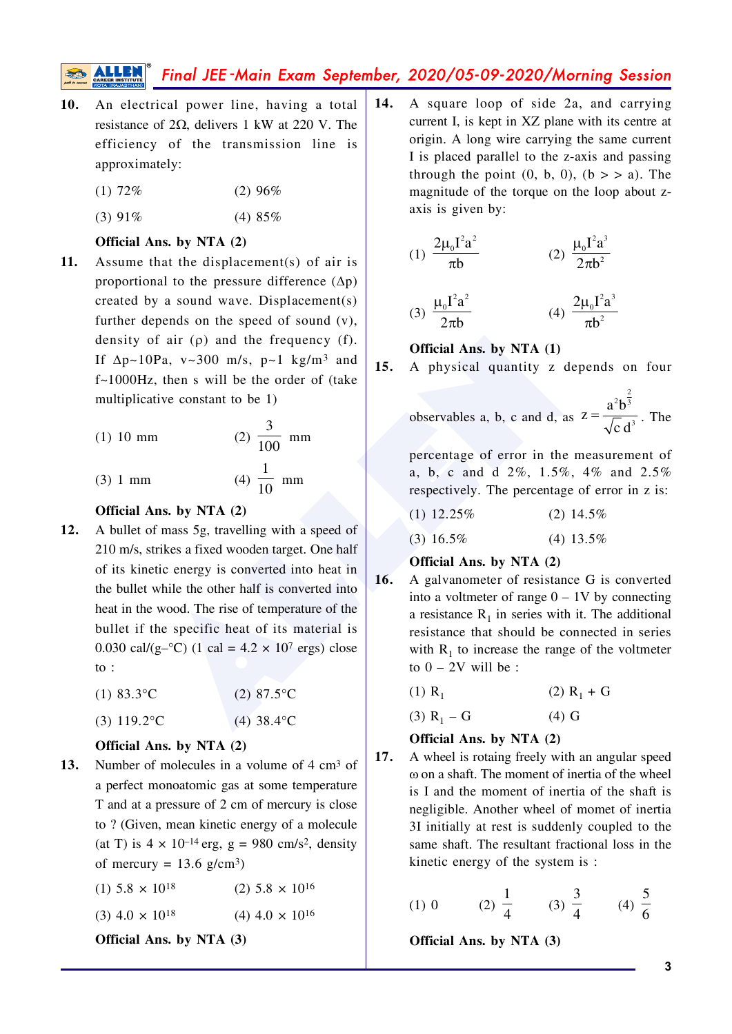# Final JEE-Main Exam September, 2020/05-09-2020/Morning Session

An electrical power line, having a total  $10.$ resistance of  $2\Omega$ , delivers 1 kW at 220 V. The efficiency of the transmission line is approximately:

> $(1)$  72%  $(2)$  96%

> $(3) 91%$  $(4)85%$

#### Official Ans. by NTA (2)

11. Assume that the displacement(s) of air is proportional to the pressure difference  $(\Delta p)$ created by a sound wave. Displacement(s) further depends on the speed of sound  $(v)$ , density of air  $(\rho)$  and the frequency (f). If  $\Delta p \sim 10Pa$ , v $\sim 300$  m/s, p $\sim 1$  kg/m<sup>3</sup> and  $f \sim 1000$ Hz, then s will be the order of (take multiplicative constant to be 1)

(1) 10 mm  
(2) 
$$
\frac{3}{100}
$$
 mm  
(3) 1 mm  
(4)  $\frac{1}{10}$  mm

$$
(4) \frac{}{10} \text{ m}
$$

## Official Ans. by NTA (2)

12. A bullet of mass 5g, travelling with a speed of 210 m/s, strikes a fixed wooden target. One half of its kinetic energy is converted into heat in the bullet while the other half is converted into heat in the wood. The rise of temperature of the bullet if the specific heat of its material is 0.030 cal/(g- $^{\circ}$ C) (1 cal = 4.2 × 10<sup>7</sup> ergs) close  $\mathfrak{g}$ :

> $(1) 83.3$ °C  $(2)$  87.5°C

> $(3) 119.2$ °C  $(4)$  38.4 $^{\circ}$ C

### Official Ans. by NTA (2)

 $13.$ Number of molecules in a volume of 4 cm<sup>3</sup> of a perfect monoatomic gas at some temperature T and at a pressure of 2 cm of mercury is close to ? (Given, mean kinetic energy of a molecule (at T) is  $4 \times 10^{-14}$  erg, g = 980 cm/s<sup>2</sup>, density of mercury =  $13.6$  g/cm<sup>3</sup>)

| $(2)$ 5.8 $\times$ 10 <sup>16</sup><br>$(1)$ 5.8 $\times$ 10 <sup>18</sup> |
|----------------------------------------------------------------------------|
|----------------------------------------------------------------------------|

$$
(3) 4.0 \times 10^{18} \qquad (4) 4.0 \times 10^{16}
$$

Official Ans. by NTA (3)

A square loop of side 2a, and carrying  $14.$ current I, is kept in XZ plane with its centre at origin. A long wire carrying the same current I is placed parallel to the z-axis and passing through the point  $(0, b, 0)$ ,  $(b > a)$ . The magnitude of the torque on the loop about zaxis is given by:

(1) 
$$
\frac{2\mu_0 I^2 a^2}{\pi b}
$$
 (2)  $\frac{\mu_0 I^2 a^3}{2\pi b^2}$   
(3)  $\frac{\mu_0 I^2 a^2}{2\pi b}$  (4)  $\frac{2\mu_0 I^2 a^3}{\pi b^2}$ 

### Official Ans. by NTA (1)

 $15.$ A physical quantity z depends on four

observables a, b, c and d, as  $z = \frac{a^2 b^{\frac{2}{3}}}{\sqrt{c} d^3}$ . The

percentage of error in the measurement of a, b, c and d 2%, 1.5%, 4% and 2.5% respectively. The percentage of error in z is:

| $(1)$ 12.25% | $(2)$ 14.5% |
|--------------|-------------|
|              |             |

 $(3)$  16.5%  $(4)$  13.5%

### Official Ans. by NTA (2)

- $16.$ A galvanometer of resistance G is converted into a voltmeter of range  $0 - 1V$  by connecting a resistance  $R_1$  in series with it. The additional resistance that should be connected in series with  $R_1$  to increase the range of the voltmeter to  $0 - 2V$  will be:
	- $(2)$  R<sub>1</sub> + G  $(1)$  R<sub>1</sub>

 $(3)$  R<sub>1</sub> – G  $(4)$  G

# Official Ans. by NTA (2)

17. A wheel is rotaing freely with an angular speed  $\omega$  on a shaft. The moment of inertia of the wheel is I and the moment of inertia of the shaft is negligible. Another wheel of momet of inertia 3I initially at rest is suddenly coupled to the same shaft. The resultant fractional loss in the kinetic energy of the system is :

(1) 0 (2) 
$$
\frac{1}{4}
$$
 (3)  $\frac{3}{4}$  (4)  $\frac{5}{6}$ 

Official Ans. by NTA (3)